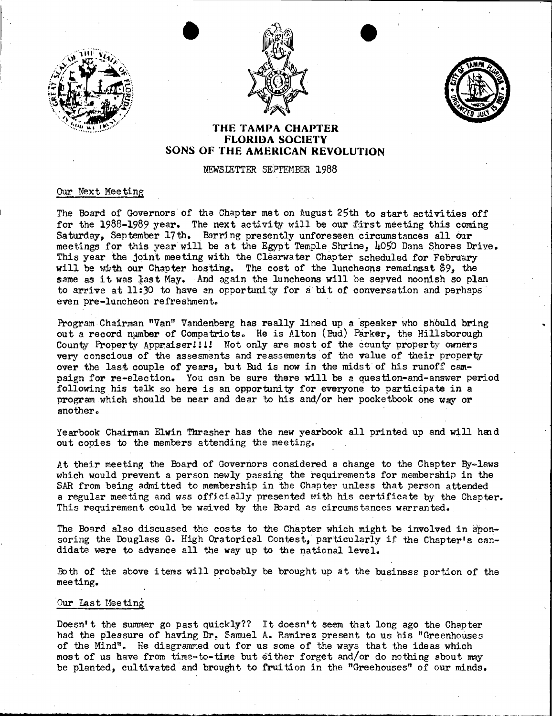





## THE TAMPA CHAPTER FLORIDA SOCIETV SONS OF THE AMERICAN REVOLUTION

NEWSLETTER SEPTEMBER 1988

## Our Next Meeting

The Board of Governors of the Chapter met on August 25th to start activities off for the  $1988-1989$  year. The next activity will be our first meeting this coming Saturday, September 17th. Barring presently unforeseen circumstances all our meetings for this year will be at the Egypt Temple Shrine,  $\mu$ 050 Dana Shores Drive. This year the joint meeting with the Clearwater Chapter scheduled for February will be with our Chapter hosting. The cost of the luncheons remainsat  $$9$ , the same as it was last May. And again the luncheons will be served noonish so plan to arrive at 11:30 to have an opportunity for a bit of conversation and perhaps even pre-luncheon refreshment.

Program Chairman "Van" Vandenberg has really lined up a speaker who should bring out a record number of Compatriots. He is Alton (Bud) Parker, the Hillsborough County Property Appraiser!!!! Not only are most of the county property owners very conscious of the assesments and reassements of the value of their property over the last couple of years, but Bud is now in the midst of his runoff campaign for re-election. You can be sure there will be a question-and-answer period following his talk so here is an opportunity for everyone to participate in a program which should be near and dear to his and/or her pocketbook one way or another..

Yearbook Chairman Elwin Thrasher has the new yearbook all printed up and will hm d out copies to the members attending the meeting.

At their meeting the Eoard of Governors considered a change to the Chapter By-laws which would prevent a person newly passing the requirements for membership in the SAR from being admi tted to membership in the Chapter unless that person attended a regular meeting and was officially presented with his certificate by the Chapter. This requirement could be waived by the Board as circumstances warranted.

The Board also discussed the costs to the Chapter which might be involved in sponsoring the Douglass G. High Oratorical Contest, particularly if the Chapter's candidate were to advance all the way up to the national level.

Both of the above items will probably be brought up at the business portion of the meeting.

## Our Last Heeting

**• • •** 

Doesn't the summer go past quickly?? It doesn't seem that long ago the Chapter had the pleasure of having Dr. Samuel A. Ramirez present to us his "Greenhouses of the Mind". He diagrammed out for us some of the ways that the ideas which mest of us have from time-to-time but a1 ther forget and/or do nothing about may be planted, cultivated and brought to fruition in the "Greehouses" of our minds.